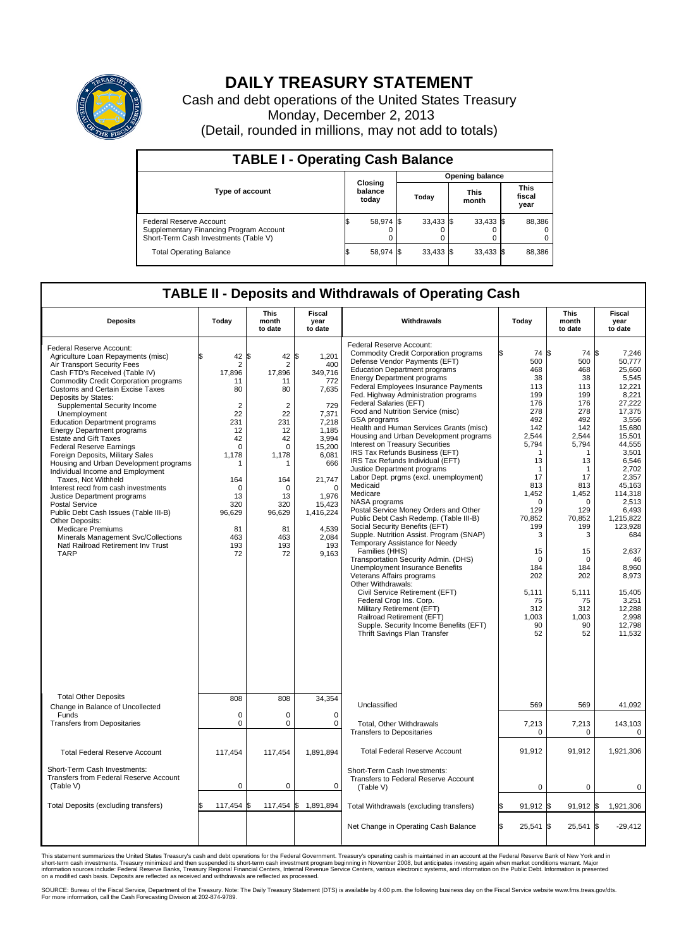

## **DAILY TREASURY STATEMENT**

Cash and debt operations of the United States Treasury Monday, December 2, 2013 (Detail, rounded in millions, may not add to totals)

| <b>TABLE I - Operating Cash Balance</b>                                                                     |  |                             |  |                        |  |                      |  |                               |  |
|-------------------------------------------------------------------------------------------------------------|--|-----------------------------|--|------------------------|--|----------------------|--|-------------------------------|--|
|                                                                                                             |  | Closing<br>balance<br>today |  | <b>Opening balance</b> |  |                      |  |                               |  |
| <b>Type of account</b>                                                                                      |  |                             |  | Today                  |  | <b>This</b><br>month |  | <b>This</b><br>fiscal<br>year |  |
| Federal Reserve Account<br>Supplementary Financing Program Account<br>Short-Term Cash Investments (Table V) |  | 58,974 \$                   |  | $33,433$ \$            |  | $33,433$ \$          |  | 88,386                        |  |
| <b>Total Operating Balance</b>                                                                              |  | 58,974 \$                   |  | $33,433$ \$            |  | $33,433$ \$          |  | 88,386                        |  |

## **TABLE II - Deposits and Withdrawals of Operating Cash**

| <b>Deposits</b>                                                                                                                                                                                                                                                                                                                                                                                                                                                                                                                                                                                                                                                                                                                                                                                                                                                               | Today                                                                                                                                                                                  | <b>This</b><br>month<br>to date                                                                                                                                                       | <b>Fiscal</b><br>year<br>to date                                                                                                                                                                           | Withdrawals                                                                                                                                                                                                                                                                                                                                                                                                                                                                                                                                                                                                                                                                                                                                                                                                                                                                                                                                                                                                                                                                                                                                                                                                                             | Today                                                                                                                                                                                                                                                     | <b>This</b><br>month<br>to date                                                                                                                                                                                                                         | <b>Fiscal</b><br>year<br>to date                                                                                                                                                                                                                                                                                             |  |  |
|-------------------------------------------------------------------------------------------------------------------------------------------------------------------------------------------------------------------------------------------------------------------------------------------------------------------------------------------------------------------------------------------------------------------------------------------------------------------------------------------------------------------------------------------------------------------------------------------------------------------------------------------------------------------------------------------------------------------------------------------------------------------------------------------------------------------------------------------------------------------------------|----------------------------------------------------------------------------------------------------------------------------------------------------------------------------------------|---------------------------------------------------------------------------------------------------------------------------------------------------------------------------------------|------------------------------------------------------------------------------------------------------------------------------------------------------------------------------------------------------------|-----------------------------------------------------------------------------------------------------------------------------------------------------------------------------------------------------------------------------------------------------------------------------------------------------------------------------------------------------------------------------------------------------------------------------------------------------------------------------------------------------------------------------------------------------------------------------------------------------------------------------------------------------------------------------------------------------------------------------------------------------------------------------------------------------------------------------------------------------------------------------------------------------------------------------------------------------------------------------------------------------------------------------------------------------------------------------------------------------------------------------------------------------------------------------------------------------------------------------------------|-----------------------------------------------------------------------------------------------------------------------------------------------------------------------------------------------------------------------------------------------------------|---------------------------------------------------------------------------------------------------------------------------------------------------------------------------------------------------------------------------------------------------------|------------------------------------------------------------------------------------------------------------------------------------------------------------------------------------------------------------------------------------------------------------------------------------------------------------------------------|--|--|
| Federal Reserve Account:<br>Agriculture Loan Repayments (misc)<br>Air Transport Security Fees<br>Cash FTD's Received (Table IV)<br><b>Commodity Credit Corporation programs</b><br><b>Customs and Certain Excise Taxes</b><br>Deposits by States:<br>Supplemental Security Income<br>Unemployment<br><b>Education Department programs</b><br><b>Energy Department programs</b><br><b>Estate and Gift Taxes</b><br><b>Federal Reserve Earnings</b><br>Foreign Deposits, Military Sales<br>Housing and Urban Development programs<br>Individual Income and Employment<br>Taxes, Not Withheld<br>Interest recd from cash investments<br>Justice Department programs<br><b>Postal Service</b><br>Public Debt Cash Issues (Table III-B)<br>Other Deposits:<br><b>Medicare Premiums</b><br>Minerals Management Svc/Collections<br>Natl Railroad Retirement Inv Trust<br><b>TARP</b> | 42<br>$\overline{2}$<br>17,896<br>11<br>80<br>$\overline{2}$<br>22<br>231<br>12<br>42<br>$\Omega$<br>1,178<br>1<br>164<br>$\mathbf 0$<br>13<br>320<br>96,629<br>81<br>463<br>193<br>72 | l\$<br>42<br>$\overline{2}$<br>17,896<br>11<br>80<br>$\overline{2}$<br>22<br>231<br>12<br>42<br>$\Omega$<br>1,178<br>164<br>$\Omega$<br>13<br>320<br>96,629<br>81<br>463<br>193<br>72 | \$<br>1,201<br>400<br>349,716<br>772<br>7,635<br>729<br>7,371<br>7,218<br>1,185<br>3,994<br>15.200<br>6,081<br>666<br>21,747<br>$\Omega$<br>1.976<br>15,423<br>1,416,224<br>4,539<br>2,084<br>193<br>9,163 | Federal Reserve Account:<br><b>Commodity Credit Corporation programs</b><br>Defense Vendor Payments (EFT)<br><b>Education Department programs</b><br><b>Energy Department programs</b><br>Federal Employees Insurance Payments<br>Fed. Highway Administration programs<br>Federal Salaries (EFT)<br>Food and Nutrition Service (misc)<br><b>GSA</b> programs<br>Health and Human Services Grants (misc)<br>Housing and Urban Development programs<br>Interest on Treasury Securities<br>IRS Tax Refunds Business (EFT)<br>IRS Tax Refunds Individual (EFT)<br>Justice Department programs<br>Labor Dept. prgms (excl. unemployment)<br>Medicaid<br>Medicare<br>NASA programs<br>Postal Service Money Orders and Other<br>Public Debt Cash Redemp. (Table III-B)<br>Social Security Benefits (EFT)<br>Supple. Nutrition Assist. Program (SNAP)<br>Temporary Assistance for Needy<br>Families (HHS)<br>Transportation Security Admin. (DHS)<br><b>Unemployment Insurance Benefits</b><br>Veterans Affairs programs<br>Other Withdrawals:<br>Civil Service Retirement (EFT)<br>Federal Crop Ins. Corp.<br>Military Retirement (EFT)<br>Railroad Retirement (EFT)<br>Supple. Security Income Benefits (EFT)<br>Thrift Savings Plan Transfer | 74 S<br>500<br>468<br>38<br>113<br>199<br>176<br>278<br>492<br>142<br>2,544<br>5,794<br>1<br>13<br>$\mathbf{1}$<br>17<br>813<br>1,452<br>$\Omega$<br>129<br>70,852<br>199<br>3<br>15<br>$\Omega$<br>184<br>202<br>5,111<br>75<br>312<br>1,003<br>90<br>52 | 74<br>500<br>468<br>38<br>113<br>199<br>176<br>278<br>492<br>142<br>2,544<br>5,794<br>1<br>13<br>$\mathbf{1}$<br>17<br>813<br>1,452<br>$\Omega$<br>129<br>70,852<br>199<br>3<br>15<br>$\Omega$<br>184<br>202<br>5,111<br>75<br>312<br>1,003<br>90<br>52 | l\$<br>7.246<br>50,777<br>25,660<br>5.545<br>12,221<br>8,221<br>27,222<br>17,375<br>3,556<br>15.680<br>15,501<br>44,555<br>3.501<br>6,546<br>2,702<br>2,357<br>45,163<br>114,318<br>2.513<br>6,493<br>1,215,822<br>123,928<br>684<br>2,637<br>46<br>8,960<br>8,973<br>15,405<br>3,251<br>12,288<br>2,998<br>12,798<br>11.532 |  |  |
| <b>Total Other Deposits</b>                                                                                                                                                                                                                                                                                                                                                                                                                                                                                                                                                                                                                                                                                                                                                                                                                                                   | 808                                                                                                                                                                                    | 808                                                                                                                                                                                   | 34,354                                                                                                                                                                                                     |                                                                                                                                                                                                                                                                                                                                                                                                                                                                                                                                                                                                                                                                                                                                                                                                                                                                                                                                                                                                                                                                                                                                                                                                                                         |                                                                                                                                                                                                                                                           |                                                                                                                                                                                                                                                         |                                                                                                                                                                                                                                                                                                                              |  |  |
| Change in Balance of Uncollected<br>Funds                                                                                                                                                                                                                                                                                                                                                                                                                                                                                                                                                                                                                                                                                                                                                                                                                                     | $\mathbf 0$                                                                                                                                                                            | $\Omega$                                                                                                                                                                              | $\mathbf 0$                                                                                                                                                                                                | Unclassified                                                                                                                                                                                                                                                                                                                                                                                                                                                                                                                                                                                                                                                                                                                                                                                                                                                                                                                                                                                                                                                                                                                                                                                                                            | 569                                                                                                                                                                                                                                                       | 569                                                                                                                                                                                                                                                     | 41,092                                                                                                                                                                                                                                                                                                                       |  |  |
| <b>Transfers from Depositaries</b>                                                                                                                                                                                                                                                                                                                                                                                                                                                                                                                                                                                                                                                                                                                                                                                                                                            | $\mathbf 0$                                                                                                                                                                            | 0                                                                                                                                                                                     | 0                                                                                                                                                                                                          | <b>Total, Other Withdrawals</b><br><b>Transfers to Depositaries</b>                                                                                                                                                                                                                                                                                                                                                                                                                                                                                                                                                                                                                                                                                                                                                                                                                                                                                                                                                                                                                                                                                                                                                                     | 7,213<br>$\mathbf 0$                                                                                                                                                                                                                                      | 7,213<br>$\mathbf 0$                                                                                                                                                                                                                                    | 143,103<br>0                                                                                                                                                                                                                                                                                                                 |  |  |
| <b>Total Federal Reserve Account</b>                                                                                                                                                                                                                                                                                                                                                                                                                                                                                                                                                                                                                                                                                                                                                                                                                                          | 117,454                                                                                                                                                                                | 117,454                                                                                                                                                                               | 1,891,894                                                                                                                                                                                                  | <b>Total Federal Reserve Account</b>                                                                                                                                                                                                                                                                                                                                                                                                                                                                                                                                                                                                                                                                                                                                                                                                                                                                                                                                                                                                                                                                                                                                                                                                    | 91,912                                                                                                                                                                                                                                                    | 91,912                                                                                                                                                                                                                                                  | 1,921,306                                                                                                                                                                                                                                                                                                                    |  |  |
| Short-Term Cash Investments:<br><b>Transfers from Federal Reserve Account</b><br>(Table V)                                                                                                                                                                                                                                                                                                                                                                                                                                                                                                                                                                                                                                                                                                                                                                                    | $\pmb{0}$                                                                                                                                                                              | 0                                                                                                                                                                                     | 0                                                                                                                                                                                                          | Short-Term Cash Investments:<br>Transfers to Federal Reserve Account<br>(Table V)                                                                                                                                                                                                                                                                                                                                                                                                                                                                                                                                                                                                                                                                                                                                                                                                                                                                                                                                                                                                                                                                                                                                                       | $\mathbf 0$                                                                                                                                                                                                                                               | 0                                                                                                                                                                                                                                                       | 0                                                                                                                                                                                                                                                                                                                            |  |  |
| Total Deposits (excluding transfers)                                                                                                                                                                                                                                                                                                                                                                                                                                                                                                                                                                                                                                                                                                                                                                                                                                          | 117,454                                                                                                                                                                                | 117,454 \$<br>\$                                                                                                                                                                      | 1,891,894                                                                                                                                                                                                  | Total Withdrawals (excluding transfers)                                                                                                                                                                                                                                                                                                                                                                                                                                                                                                                                                                                                                                                                                                                                                                                                                                                                                                                                                                                                                                                                                                                                                                                                 | $91,912$ \$                                                                                                                                                                                                                                               | $91,912$ \$                                                                                                                                                                                                                                             | 1,921,306                                                                                                                                                                                                                                                                                                                    |  |  |
|                                                                                                                                                                                                                                                                                                                                                                                                                                                                                                                                                                                                                                                                                                                                                                                                                                                                               |                                                                                                                                                                                        |                                                                                                                                                                                       |                                                                                                                                                                                                            | Net Change in Operating Cash Balance                                                                                                                                                                                                                                                                                                                                                                                                                                                                                                                                                                                                                                                                                                                                                                                                                                                                                                                                                                                                                                                                                                                                                                                                    | 25,541 \$                                                                                                                                                                                                                                                 | 25,541                                                                                                                                                                                                                                                  | 1\$<br>$-29,412$                                                                                                                                                                                                                                                                                                             |  |  |

This statement summarizes the United States Treasury's cash and debt operations for the Federal Government. Treasury's operating cash is maintained in an account at the Federal Reserve Bank of New York and in<br>short-term ca

SOURCE: Bureau of the Fiscal Service, Department of the Treasury. Note: The Daily Treasury Statement (DTS) is available by 4:00 p.m. the following business day on the Fiscal Service website www.fms.treas.gov/dts.<br>For more